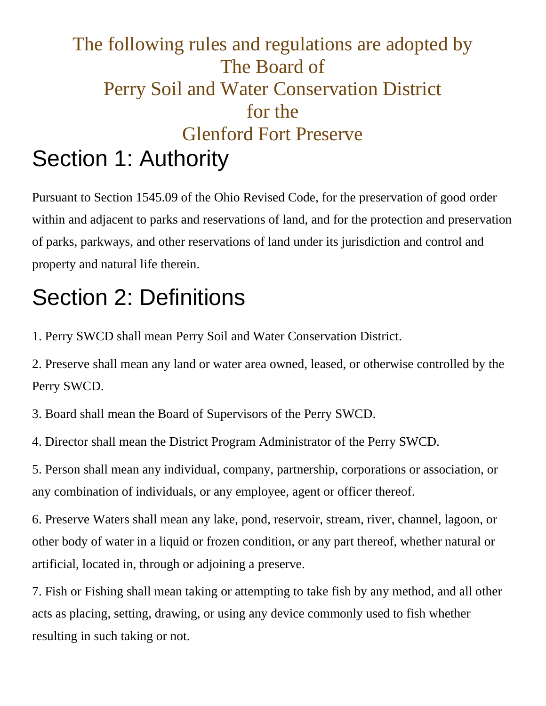#### The following rules and regulations are adopted by The Board of Perry Soil and Water Conservation District for the Glenford Fort Preserve Section 1: Authority

Pursuant to Section 1545.09 of the Ohio Revised Code, for the preservation of good order within and adjacent to parks and reservations of land, and for the protection and preservation of parks, parkways, and other reservations of land under its jurisdiction and control and property and natural life therein.

## Section 2: Definitions

1. Perry SWCD shall mean Perry Soil and Water Conservation District.

2. Preserve shall mean any land or water area owned, leased, or otherwise controlled by the Perry SWCD.

3. Board shall mean the Board of Supervisors of the Perry SWCD.

4. Director shall mean the District Program Administrator of the Perry SWCD.

5. Person shall mean any individual, company, partnership, corporations or association, or any combination of individuals, or any employee, agent or officer thereof.

6. Preserve Waters shall mean any lake, pond, reservoir, stream, river, channel, lagoon, or other body of water in a liquid or frozen condition, or any part thereof, whether natural or artificial, located in, through or adjoining a preserve.

7. Fish or Fishing shall mean taking or attempting to take fish by any method, and all other acts as placing, setting, drawing, or using any device commonly used to fish whether resulting in such taking or not.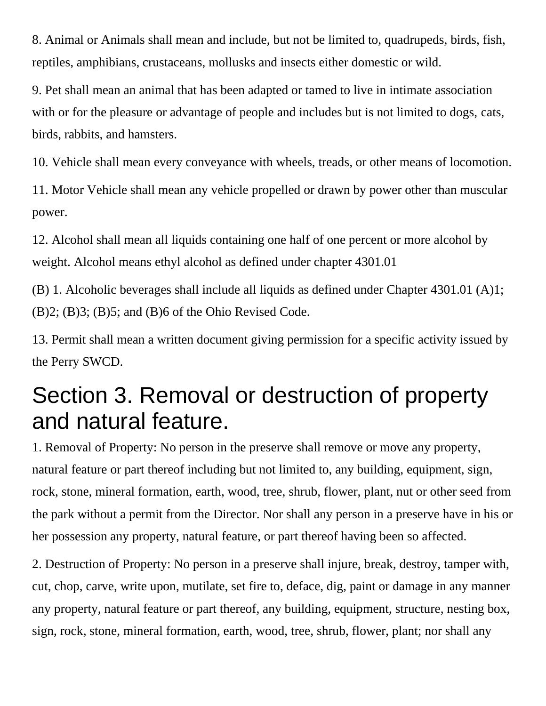8. Animal or Animals shall mean and include, but not be limited to, quadrupeds, birds, fish, reptiles, amphibians, crustaceans, mollusks and insects either domestic or wild.

9. Pet shall mean an animal that has been adapted or tamed to live in intimate association with or for the pleasure or advantage of people and includes but is not limited to dogs, cats, birds, rabbits, and hamsters.

10. Vehicle shall mean every conveyance with wheels, treads, or other means of locomotion.

11. Motor Vehicle shall mean any vehicle propelled or drawn by power other than muscular power.

12. Alcohol shall mean all liquids containing one half of one percent or more alcohol by weight. Alcohol means ethyl alcohol as defined under chapter 4301.01

(B) 1. Alcoholic beverages shall include all liquids as defined under Chapter 4301.01 (A)1; (B)2; (B)3; (B)5; and (B)6 of the Ohio Revised Code.

13. Permit shall mean a written document giving permission for a specific activity issued by the Perry SWCD.

#### Section 3. Removal or destruction of property and natural feature.

1. Removal of Property: No person in the preserve shall remove or move any property, natural feature or part thereof including but not limited to, any building, equipment, sign, rock, stone, mineral formation, earth, wood, tree, shrub, flower, plant, nut or other seed from the park without a permit from the Director. Nor shall any person in a preserve have in his or her possession any property, natural feature, or part thereof having been so affected.

2. Destruction of Property: No person in a preserve shall injure, break, destroy, tamper with, cut, chop, carve, write upon, mutilate, set fire to, deface, dig, paint or damage in any manner any property, natural feature or part thereof, any building, equipment, structure, nesting box, sign, rock, stone, mineral formation, earth, wood, tree, shrub, flower, plant; nor shall any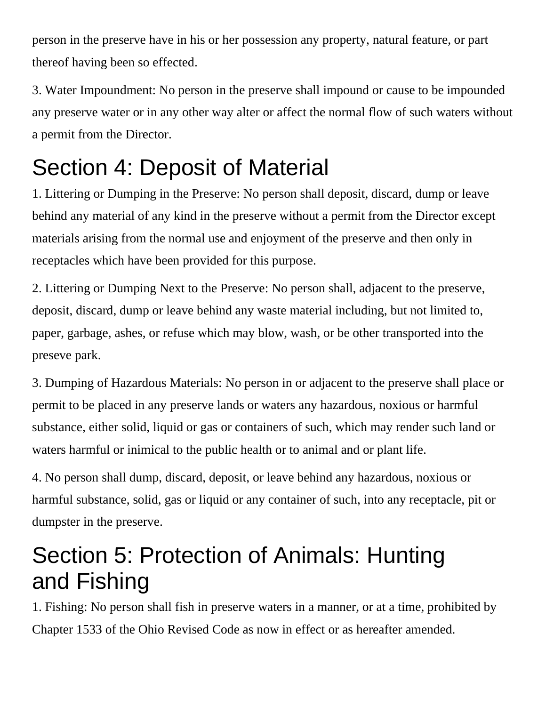person in the preserve have in his or her possession any property, natural feature, or part thereof having been so effected.

3. Water Impoundment: No person in the preserve shall impound or cause to be impounded any preserve water or in any other way alter or affect the normal flow of such waters without a permit from the Director.

## Section 4: Deposit of Material

1. Littering or Dumping in the Preserve: No person shall deposit, discard, dump or leave behind any material of any kind in the preserve without a permit from the Director except materials arising from the normal use and enjoyment of the preserve and then only in receptacles which have been provided for this purpose.

2. Littering or Dumping Next to the Preserve: No person shall, adjacent to the preserve, deposit, discard, dump or leave behind any waste material including, but not limited to, paper, garbage, ashes, or refuse which may blow, wash, or be other transported into the preseve park.

3. Dumping of Hazardous Materials: No person in or adjacent to the preserve shall place or permit to be placed in any preserve lands or waters any hazardous, noxious or harmful substance, either solid, liquid or gas or containers of such, which may render such land or waters harmful or inimical to the public health or to animal and or plant life.

4. No person shall dump, discard, deposit, or leave behind any hazardous, noxious or harmful substance, solid, gas or liquid or any container of such, into any receptacle, pit or dumpster in the preserve.

#### Section 5: Protection of Animals: Hunting and Fishing

1. Fishing: No person shall fish in preserve waters in a manner, or at a time, prohibited by Chapter 1533 of the Ohio Revised Code as now in effect or as hereafter amended.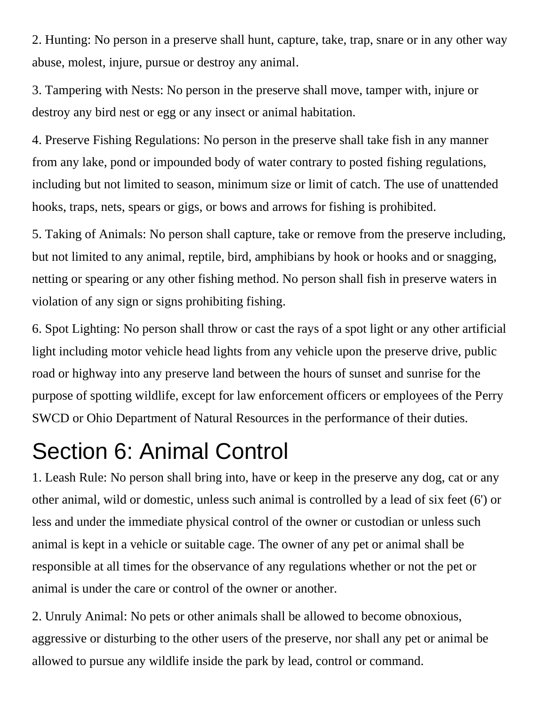2. Hunting: No person in a preserve shall hunt, capture, take, trap, snare or in any other way abuse, molest, injure, pursue or destroy any animal.

3. Tampering with Nests: No person in the preserve shall move, tamper with, injure or destroy any bird nest or egg or any insect or animal habitation.

4. Preserve Fishing Regulations: No person in the preserve shall take fish in any manner from any lake, pond or impounded body of water contrary to posted fishing regulations, including but not limited to season, minimum size or limit of catch. The use of unattended hooks, traps, nets, spears or gigs, or bows and arrows for fishing is prohibited.

5. Taking of Animals: No person shall capture, take or remove from the preserve including, but not limited to any animal, reptile, bird, amphibians by hook or hooks and or snagging, netting or spearing or any other fishing method. No person shall fish in preserve waters in violation of any sign or signs prohibiting fishing.

6. Spot Lighting: No person shall throw or cast the rays of a spot light or any other artificial light including motor vehicle head lights from any vehicle upon the preserve drive, public road or highway into any preserve land between the hours of sunset and sunrise for the purpose of spotting wildlife, except for law enforcement officers or employees of the Perry SWCD or Ohio Department of Natural Resources in the performance of their duties.

#### Section 6: Animal Control

1. Leash Rule: No person shall bring into, have or keep in the preserve any dog, cat or any other animal, wild or domestic, unless such animal is controlled by a lead of six feet (6') or less and under the immediate physical control of the owner or custodian or unless such animal is kept in a vehicle or suitable cage. The owner of any pet or animal shall be responsible at all times for the observance of any regulations whether or not the pet or animal is under the care or control of the owner or another.

2. Unruly Animal: No pets or other animals shall be allowed to become obnoxious, aggressive or disturbing to the other users of the preserve, nor shall any pet or animal be allowed to pursue any wildlife inside the park by lead, control or command.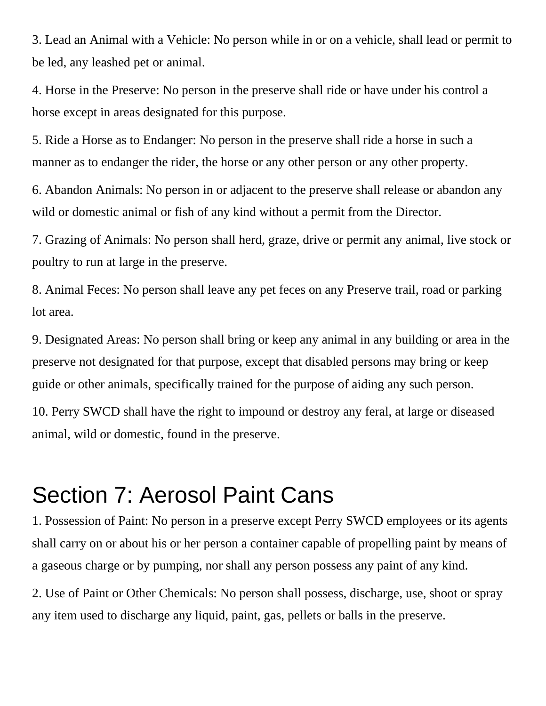3. Lead an Animal with a Vehicle: No person while in or on a vehicle, shall lead or permit to be led, any leashed pet or animal.

4. Horse in the Preserve: No person in the preserve shall ride or have under his control a horse except in areas designated for this purpose.

5. Ride a Horse as to Endanger: No person in the preserve shall ride a horse in such a manner as to endanger the rider, the horse or any other person or any other property.

6. Abandon Animals: No person in or adjacent to the preserve shall release or abandon any wild or domestic animal or fish of any kind without a permit from the Director.

7. Grazing of Animals: No person shall herd, graze, drive or permit any animal, live stock or poultry to run at large in the preserve.

8. Animal Feces: No person shall leave any pet feces on any Preserve trail, road or parking lot area.

9. Designated Areas: No person shall bring or keep any animal in any building or area in the preserve not designated for that purpose, except that disabled persons may bring or keep guide or other animals, specifically trained for the purpose of aiding any such person.

10. Perry SWCD shall have the right to impound or destroy any feral, at large or diseased animal, wild or domestic, found in the preserve.

#### Section 7: Aerosol Paint Cans

1. Possession of Paint: No person in a preserve except Perry SWCD employees or its agents shall carry on or about his or her person a container capable of propelling paint by means of a gaseous charge or by pumping, nor shall any person possess any paint of any kind.

2. Use of Paint or Other Chemicals: No person shall possess, discharge, use, shoot or spray any item used to discharge any liquid, paint, gas, pellets or balls in the preserve.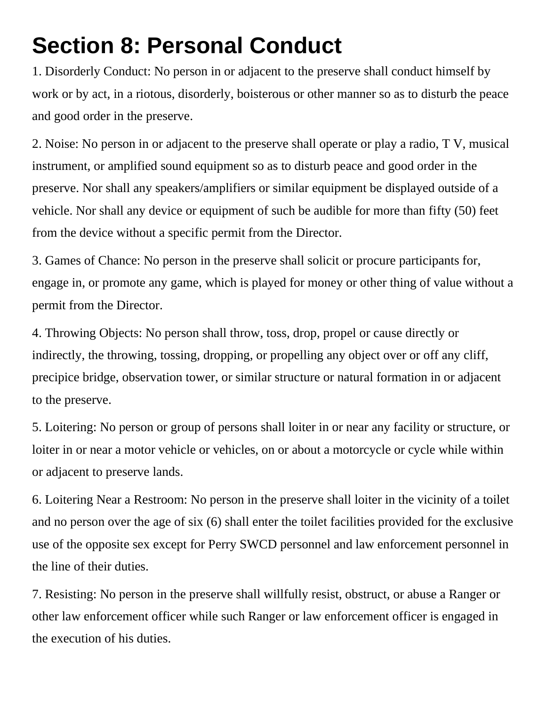## **Section 8: Personal Conduct**

1. Disorderly Conduct: No person in or adjacent to the preserve shall conduct himself by work or by act, in a riotous, disorderly, boisterous or other manner so as to disturb the peace and good order in the preserve.

2. Noise: No person in or adjacent to the preserve shall operate or play a radio, T V, musical instrument, or amplified sound equipment so as to disturb peace and good order in the preserve. Nor shall any speakers/amplifiers or similar equipment be displayed outside of a vehicle. Nor shall any device or equipment of such be audible for more than fifty (50) feet from the device without a specific permit from the Director.

3. Games of Chance: No person in the preserve shall solicit or procure participants for, engage in, or promote any game, which is played for money or other thing of value without a permit from the Director.

4. Throwing Objects: No person shall throw, toss, drop, propel or cause directly or indirectly, the throwing, tossing, dropping, or propelling any object over or off any cliff, precipice bridge, observation tower, or similar structure or natural formation in or adjacent to the preserve.

5. Loitering: No person or group of persons shall loiter in or near any facility or structure, or loiter in or near a motor vehicle or vehicles, on or about a motorcycle or cycle while within or adjacent to preserve lands.

6. Loitering Near a Restroom: No person in the preserve shall loiter in the vicinity of a toilet and no person over the age of six (6) shall enter the toilet facilities provided for the exclusive use of the opposite sex except for Perry SWCD personnel and law enforcement personnel in the line of their duties.

7. Resisting: No person in the preserve shall willfully resist, obstruct, or abuse a Ranger or other law enforcement officer while such Ranger or law enforcement officer is engaged in the execution of his duties.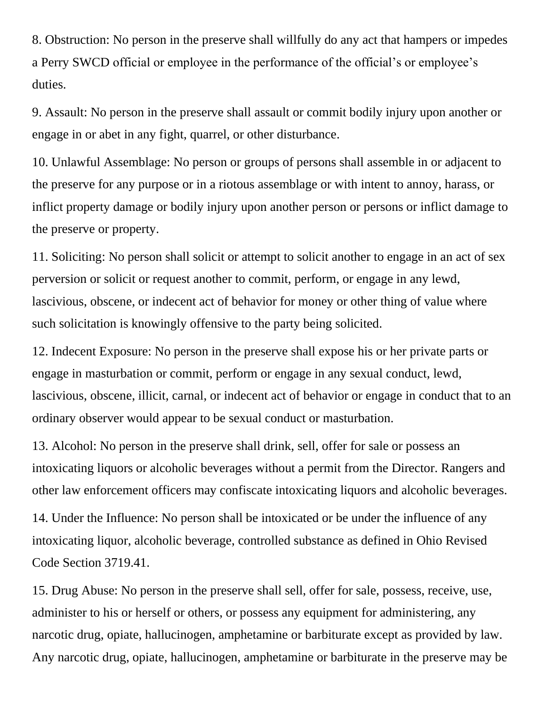8. Obstruction: No person in the preserve shall willfully do any act that hampers or impedes a Perry SWCD official or employee in the performance of the official's or employee's duties.

9. Assault: No person in the preserve shall assault or commit bodily injury upon another or engage in or abet in any fight, quarrel, or other disturbance.

10. Unlawful Assemblage: No person or groups of persons shall assemble in or adjacent to the preserve for any purpose or in a riotous assemblage or with intent to annoy, harass, or inflict property damage or bodily injury upon another person or persons or inflict damage to the preserve or property.

11. Soliciting: No person shall solicit or attempt to solicit another to engage in an act of sex perversion or solicit or request another to commit, perform, or engage in any lewd, lascivious, obscene, or indecent act of behavior for money or other thing of value where such solicitation is knowingly offensive to the party being solicited.

12. Indecent Exposure: No person in the preserve shall expose his or her private parts or engage in masturbation or commit, perform or engage in any sexual conduct, lewd, lascivious, obscene, illicit, carnal, or indecent act of behavior or engage in conduct that to an ordinary observer would appear to be sexual conduct or masturbation.

13. Alcohol: No person in the preserve shall drink, sell, offer for sale or possess an intoxicating liquors or alcoholic beverages without a permit from the Director. Rangers and other law enforcement officers may confiscate intoxicating liquors and alcoholic beverages.

14. Under the Influence: No person shall be intoxicated or be under the influence of any intoxicating liquor, alcoholic beverage, controlled substance as defined in Ohio Revised Code Section 3719.41.

15. Drug Abuse: No person in the preserve shall sell, offer for sale, possess, receive, use, administer to his or herself or others, or possess any equipment for administering, any narcotic drug, opiate, hallucinogen, amphetamine or barbiturate except as provided by law. Any narcotic drug, opiate, hallucinogen, amphetamine or barbiturate in the preserve may be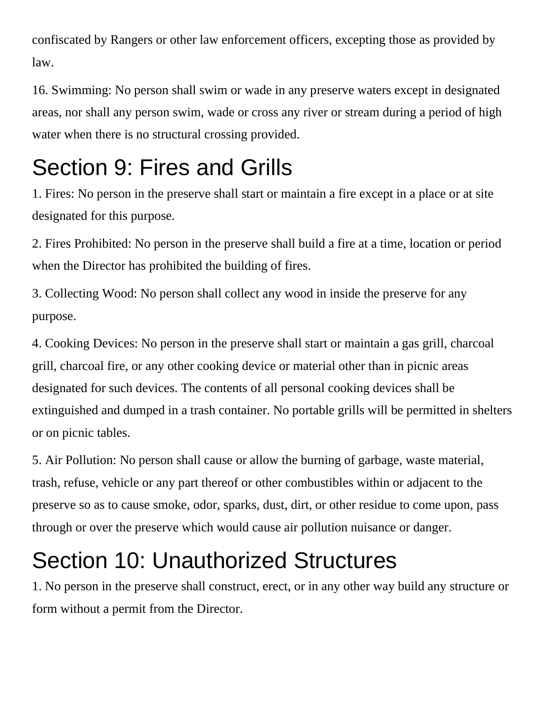confiscated by Rangers or other law enforcement officers, excepting those as provided by law.

16. Swimming: No person shall swim or wade in any preserve waters except in designated areas, nor shall any person swim, wade or cross any river or stream during a period of high water when there is no structural crossing provided.

## Section 9: Fires and Grills

1. Fires: No person in the preserve shall start or maintain a fire except in a place or at site designated for this purpose.

2. Fires Prohibited: No person in the preserve shall build a fire at a time, location or period when the Director has prohibited the building of fires.

3. Collecting Wood: No person shall collect any wood in inside the preserve for any purpose.

4. Cooking Devices: No person in the preserve shall start or maintain a gas grill, charcoal grill, charcoal fire, or any other cooking device or material other than in picnic areas designated for such devices. The contents of all personal cooking devices shall be extinguished and dumped in a trash container. No portable grills will be permitted in shelters or on picnic tables.

5. Air Pollution: No person shall cause or allow the burning of garbage, waste material, trash, refuse, vehicle or any part thereof or other combustibles within or adjacent to the preserve so as to cause smoke, odor, sparks, dust, dirt, or other residue to come upon, pass through or over the preserve which would cause air pollution nuisance or danger.

## Section 10: Unauthorized Structures

1. No person in the preserve shall construct, erect, or in any other way build any structure or form without a permit from the Director.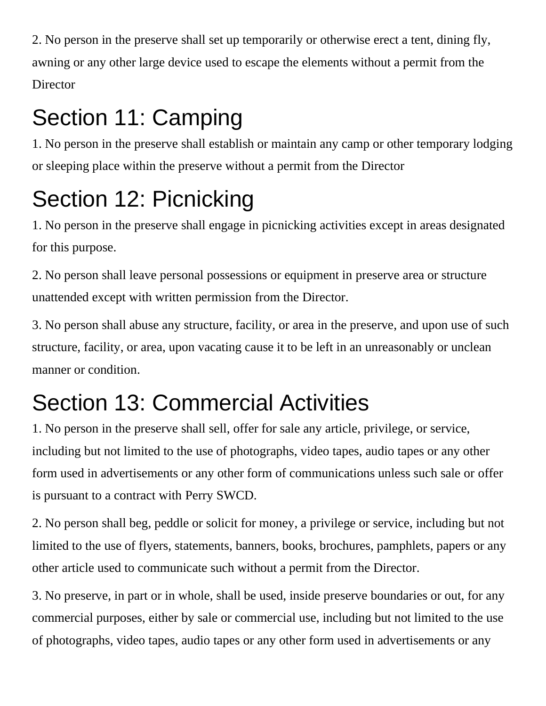2. No person in the preserve shall set up temporarily or otherwise erect a tent, dining fly, awning or any other large device used to escape the elements without a permit from the **Director** 

# Section 11: Camping

1. No person in the preserve shall establish or maintain any camp or other temporary lodging or sleeping place within the preserve without a permit from the Director

# Section 12: Picnicking

1. No person in the preserve shall engage in picnicking activities except in areas designated for this purpose.

2. No person shall leave personal possessions or equipment in preserve area or structure unattended except with written permission from the Director.

3. No person shall abuse any structure, facility, or area in the preserve, and upon use of such structure, facility, or area, upon vacating cause it to be left in an unreasonably or unclean manner or condition.

## Section 13: Commercial Activities

1. No person in the preserve shall sell, offer for sale any article, privilege, or service, including but not limited to the use of photographs, video tapes, audio tapes or any other form used in advertisements or any other form of communications unless such sale or offer is pursuant to a contract with Perry SWCD.

2. No person shall beg, peddle or solicit for money, a privilege or service, including but not limited to the use of flyers, statements, banners, books, brochures, pamphlets, papers or any other article used to communicate such without a permit from the Director.

3. No preserve, in part or in whole, shall be used, inside preserve boundaries or out, for any commercial purposes, either by sale or commercial use, including but not limited to the use of photographs, video tapes, audio tapes or any other form used in advertisements or any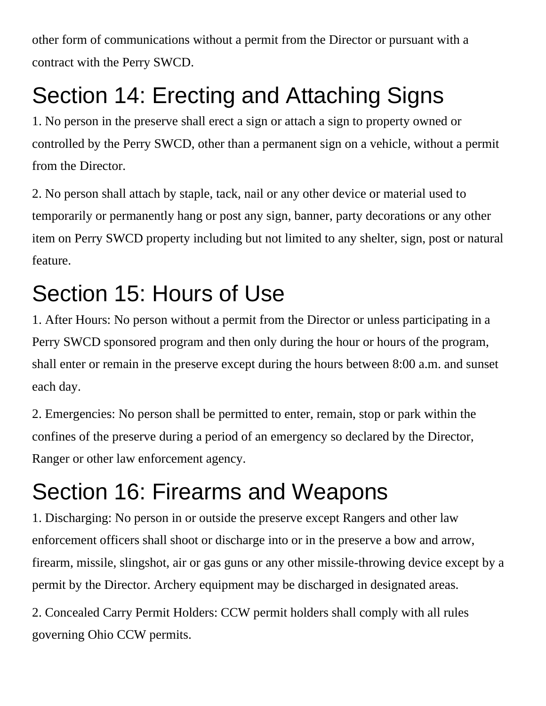other form of communications without a permit from the Director or pursuant with a contract with the Perry SWCD.

# Section 14: Erecting and Attaching Signs

1. No person in the preserve shall erect a sign or attach a sign to property owned or controlled by the Perry SWCD, other than a permanent sign on a vehicle, without a permit from the Director.

2. No person shall attach by staple, tack, nail or any other device or material used to temporarily or permanently hang or post any sign, banner, party decorations or any other item on Perry SWCD property including but not limited to any shelter, sign, post or natural feature.

## Section 15: Hours of Use

1. After Hours: No person without a permit from the Director or unless participating in a Perry SWCD sponsored program and then only during the hour or hours of the program, shall enter or remain in the preserve except during the hours between 8:00 a.m. and sunset each day.

2. Emergencies: No person shall be permitted to enter, remain, stop or park within the confines of the preserve during a period of an emergency so declared by the Director, Ranger or other law enforcement agency.

## Section 16: Firearms and Weapons

1. Discharging: No person in or outside the preserve except Rangers and other law enforcement officers shall shoot or discharge into or in the preserve a bow and arrow, firearm, missile, slingshot, air or gas guns or any other missile-throwing device except by a permit by the Director. Archery equipment may be discharged in designated areas.

2. Concealed Carry Permit Holders: CCW permit holders shall comply with all rules governing Ohio CCW permits.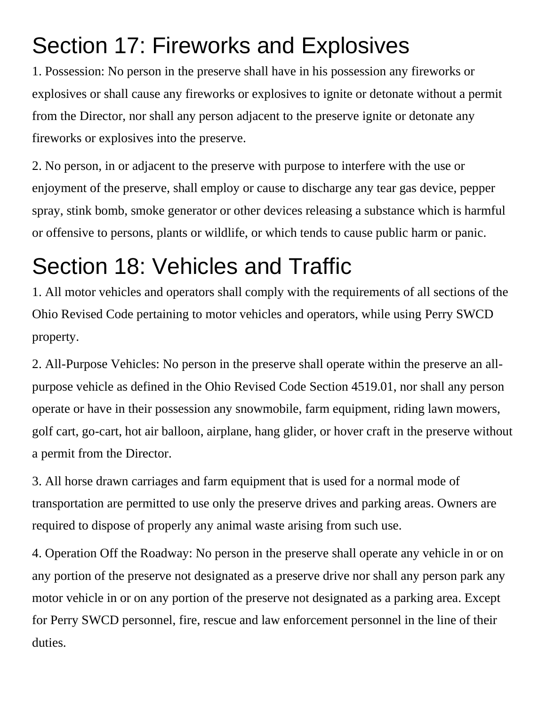## Section 17: Fireworks and Explosives

1. Possession: No person in the preserve shall have in his possession any fireworks or explosives or shall cause any fireworks or explosives to ignite or detonate without a permit from the Director, nor shall any person adjacent to the preserve ignite or detonate any fireworks or explosives into the preserve.

2. No person, in or adjacent to the preserve with purpose to interfere with the use or enjoyment of the preserve, shall employ or cause to discharge any tear gas device, pepper spray, stink bomb, smoke generator or other devices releasing a substance which is harmful or offensive to persons, plants or wildlife, or which tends to cause public harm or panic.

## Section 18: Vehicles and Traffic

1. All motor vehicles and operators shall comply with the requirements of all sections of the Ohio Revised Code pertaining to motor vehicles and operators, while using Perry SWCD property.

2. All-Purpose Vehicles: No person in the preserve shall operate within the preserve an allpurpose vehicle as defined in the Ohio Revised Code Section 4519.01, nor shall any person operate or have in their possession any snowmobile, farm equipment, riding lawn mowers, golf cart, go-cart, hot air balloon, airplane, hang glider, or hover craft in the preserve without a permit from the Director.

3. All horse drawn carriages and farm equipment that is used for a normal mode of transportation are permitted to use only the preserve drives and parking areas. Owners are required to dispose of properly any animal waste arising from such use.

4. Operation Off the Roadway: No person in the preserve shall operate any vehicle in or on any portion of the preserve not designated as a preserve drive nor shall any person park any motor vehicle in or on any portion of the preserve not designated as a parking area. Except for Perry SWCD personnel, fire, rescue and law enforcement personnel in the line of their duties.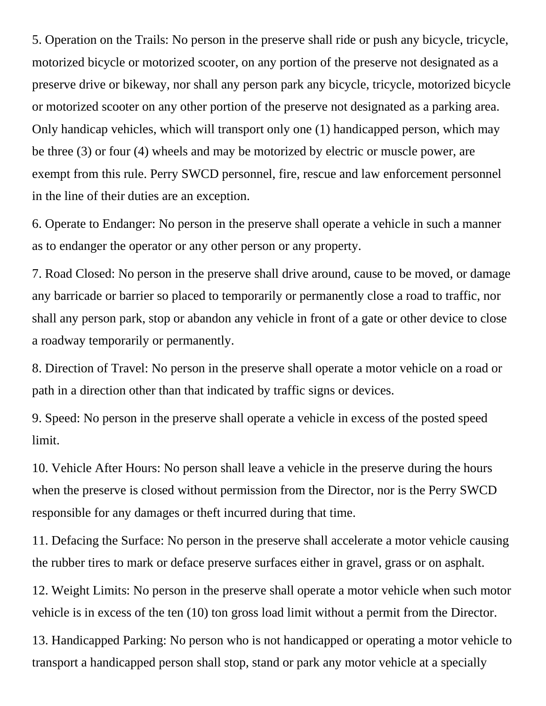5. Operation on the Trails: No person in the preserve shall ride or push any bicycle, tricycle, motorized bicycle or motorized scooter, on any portion of the preserve not designated as a preserve drive or bikeway, nor shall any person park any bicycle, tricycle, motorized bicycle or motorized scooter on any other portion of the preserve not designated as a parking area. Only handicap vehicles, which will transport only one (1) handicapped person, which may be three (3) or four (4) wheels and may be motorized by electric or muscle power, are exempt from this rule. Perry SWCD personnel, fire, rescue and law enforcement personnel in the line of their duties are an exception.

6. Operate to Endanger: No person in the preserve shall operate a vehicle in such a manner as to endanger the operator or any other person or any property.

7. Road Closed: No person in the preserve shall drive around, cause to be moved, or damage any barricade or barrier so placed to temporarily or permanently close a road to traffic, nor shall any person park, stop or abandon any vehicle in front of a gate or other device to close a roadway temporarily or permanently.

8. Direction of Travel: No person in the preserve shall operate a motor vehicle on a road or path in a direction other than that indicated by traffic signs or devices.

9. Speed: No person in the preserve shall operate a vehicle in excess of the posted speed limit.

10. Vehicle After Hours: No person shall leave a vehicle in the preserve during the hours when the preserve is closed without permission from the Director, nor is the Perry SWCD responsible for any damages or theft incurred during that time.

11. Defacing the Surface: No person in the preserve shall accelerate a motor vehicle causing the rubber tires to mark or deface preserve surfaces either in gravel, grass or on asphalt.

12. Weight Limits: No person in the preserve shall operate a motor vehicle when such motor vehicle is in excess of the ten (10) ton gross load limit without a permit from the Director.

13. Handicapped Parking: No person who is not handicapped or operating a motor vehicle to transport a handicapped person shall stop, stand or park any motor vehicle at a specially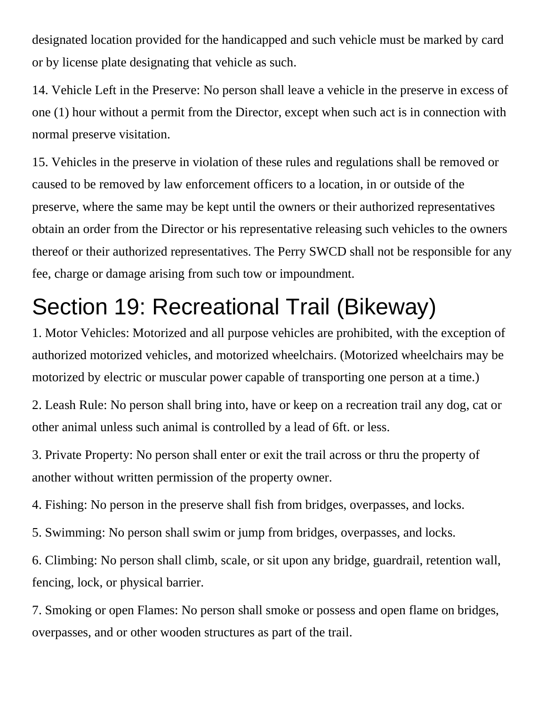designated location provided for the handicapped and such vehicle must be marked by card or by license plate designating that vehicle as such.

14. Vehicle Left in the Preserve: No person shall leave a vehicle in the preserve in excess of one (1) hour without a permit from the Director, except when such act is in connection with normal preserve visitation.

15. Vehicles in the preserve in violation of these rules and regulations shall be removed or caused to be removed by law enforcement officers to a location, in or outside of the preserve, where the same may be kept until the owners or their authorized representatives obtain an order from the Director or his representative releasing such vehicles to the owners thereof or their authorized representatives. The Perry SWCD shall not be responsible for any fee, charge or damage arising from such tow or impoundment.

## Section 19: Recreational Trail (Bikeway)

1. Motor Vehicles: Motorized and all purpose vehicles are prohibited, with the exception of authorized motorized vehicles, and motorized wheelchairs. (Motorized wheelchairs may be motorized by electric or muscular power capable of transporting one person at a time.)

2. Leash Rule: No person shall bring into, have or keep on a recreation trail any dog, cat or other animal unless such animal is controlled by a lead of 6ft. or less.

3. Private Property: No person shall enter or exit the trail across or thru the property of another without written permission of the property owner.

4. Fishing: No person in the preserve shall fish from bridges, overpasses, and locks.

5. Swimming: No person shall swim or jump from bridges, overpasses, and locks.

6. Climbing: No person shall climb, scale, or sit upon any bridge, guardrail, retention wall, fencing, lock, or physical barrier.

7. Smoking or open Flames: No person shall smoke or possess and open flame on bridges, overpasses, and or other wooden structures as part of the trail.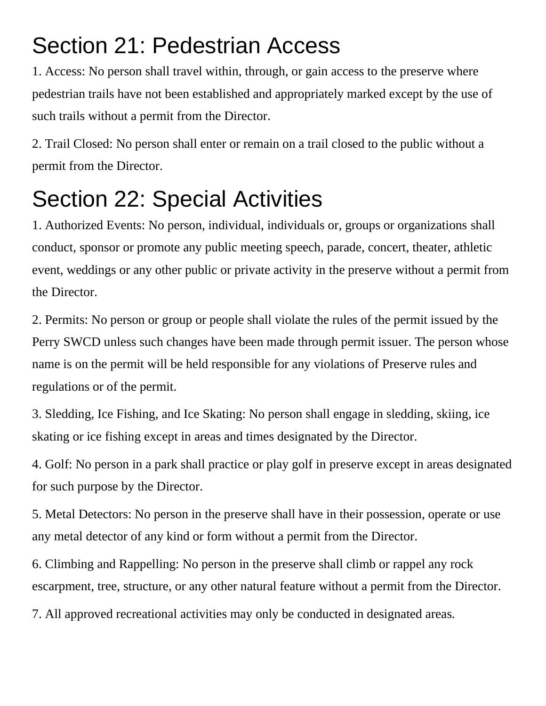## Section 21: Pedestrian Access

1. Access: No person shall travel within, through, or gain access to the preserve where pedestrian trails have not been established and appropriately marked except by the use of such trails without a permit from the Director.

2. Trail Closed: No person shall enter or remain on a trail closed to the public without a permit from the Director.

## Section 22: Special Activities

1. Authorized Events: No person, individual, individuals or, groups or organizations shall conduct, sponsor or promote any public meeting speech, parade, concert, theater, athletic event, weddings or any other public or private activity in the preserve without a permit from the Director.

2. Permits: No person or group or people shall violate the rules of the permit issued by the Perry SWCD unless such changes have been made through permit issuer. The person whose name is on the permit will be held responsible for any violations of Preserve rules and regulations or of the permit.

3. Sledding, Ice Fishing, and Ice Skating: No person shall engage in sledding, skiing, ice skating or ice fishing except in areas and times designated by the Director.

4. Golf: No person in a park shall practice or play golf in preserve except in areas designated for such purpose by the Director.

5. Metal Detectors: No person in the preserve shall have in their possession, operate or use any metal detector of any kind or form without a permit from the Director.

6. Climbing and Rappelling: No person in the preserve shall climb or rappel any rock escarpment, tree, structure, or any other natural feature without a permit from the Director.

7. All approved recreational activities may only be conducted in designated areas.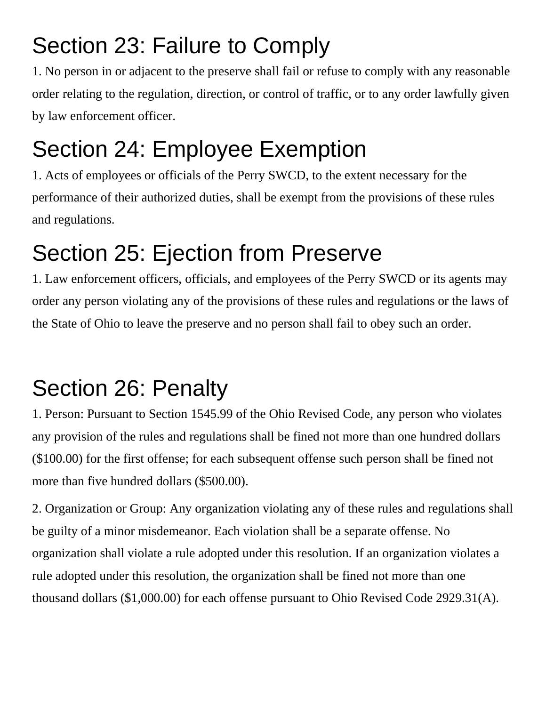## Section 23: Failure to Comply

1. No person in or adjacent to the preserve shall fail or refuse to comply with any reasonable order relating to the regulation, direction, or control of traffic, or to any order lawfully given by law enforcement officer.

# Section 24: Employee Exemption

1. Acts of employees or officials of the Perry SWCD, to the extent necessary for the performance of their authorized duties, shall be exempt from the provisions of these rules and regulations.

## Section 25: Ejection from Preserve

1. Law enforcement officers, officials, and employees of the Perry SWCD or its agents may order any person violating any of the provisions of these rules and regulations or the laws of the State of Ohio to leave the preserve and no person shall fail to obey such an order.

# Section 26: Penalty

1. Person: Pursuant to Section 1545.99 of the Ohio Revised Code, any person who violates any provision of the rules and regulations shall be fined not more than one hundred dollars (\$100.00) for the first offense; for each subsequent offense such person shall be fined not more than five hundred dollars (\$500.00).

2. Organization or Group: Any organization violating any of these rules and regulations shall be guilty of a minor misdemeanor. Each violation shall be a separate offense. No organization shall violate a rule adopted under this resolution. If an organization violates a rule adopted under this resolution, the organization shall be fined not more than one thousand dollars (\$1,000.00) for each offense pursuant to Ohio Revised Code 2929.31(A).